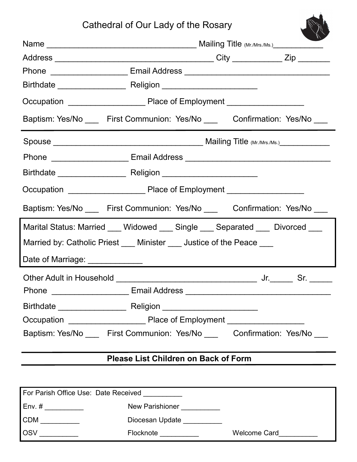## Cathedral of Our Lady of the Rosary Name \_\_\_\_\_\_\_\_\_\_\_\_\_\_\_\_\_\_\_\_\_\_\_\_\_\_\_\_\_\_\_\_\_ Mailing Title (Mr./Mrs./Ms.)\_\_\_\_\_\_\_\_\_\_\_ Address \_\_\_\_\_\_\_\_\_\_\_\_\_\_\_\_\_\_\_\_\_\_\_\_\_\_\_\_\_\_\_\_\_\_\_ City \_\_\_\_\_\_\_\_\_\_\_ Zip \_\_\_\_\_\_\_ Phone \_\_\_\_\_\_\_\_\_\_\_\_\_\_\_\_\_ Email Address \_\_\_\_\_\_\_\_\_\_\_\_\_\_\_\_\_\_\_\_\_\_\_\_\_\_\_\_\_\_\_\_ Birthdate \_\_\_\_\_\_\_\_\_\_\_\_\_\_\_ Religion \_\_\_\_\_\_\_\_\_\_\_\_\_\_\_\_\_\_\_\_\_ Occupation \_\_\_\_\_\_\_\_\_\_\_\_\_\_\_\_\_ Place of Employment \_\_\_\_\_\_\_\_\_\_\_\_\_\_\_\_\_ Baptism: Yes/No \_\_\_ First Communion: Yes/No \_\_\_ Confirmation: Yes/No \_\_\_ Birthdate \_\_\_\_\_\_\_\_\_\_\_\_\_\_\_ Religion \_\_\_\_\_\_\_\_\_\_\_\_\_\_\_\_\_\_\_\_\_ Occupation \_\_\_\_\_\_\_\_\_\_\_\_\_\_\_\_\_ Place of Employment \_\_\_\_\_\_\_\_\_\_\_\_\_\_\_\_\_ Baptism: Yes/No \_\_\_ First Communion: Yes/No \_\_\_ Confirmation: Yes/No Other Adult in Household \_\_\_\_\_\_\_\_\_\_\_\_\_\_\_\_\_\_\_\_\_\_\_\_\_\_\_\_\_\_\_ Jr.\_\_\_\_\_ Sr. \_\_\_\_\_ Birthdate \_\_\_\_\_\_\_\_\_\_\_\_\_\_\_ Religion \_\_\_\_\_\_\_\_\_\_\_\_\_\_\_\_\_\_\_\_\_ Occupation \_\_\_\_\_\_\_\_\_\_\_\_\_\_\_\_\_ Place of Employment \_\_\_\_\_\_\_\_\_\_\_\_\_\_\_\_\_ Baptism: Yes/No \_\_\_ First Communion: Yes/No \_\_\_ Confirmation: Yes/No \_\_\_ Phone \_\_\_\_\_\_\_\_\_\_\_\_\_\_\_\_\_ Email Address \_\_\_\_\_\_\_\_\_\_\_\_\_\_\_\_\_\_\_\_\_\_\_\_\_\_\_\_\_\_\_\_ Phone \_\_\_\_\_\_\_\_\_\_\_\_\_\_\_\_\_ Email Address \_\_\_\_\_\_\_\_\_\_\_\_\_\_\_\_\_\_\_\_\_\_\_\_\_\_\_\_\_\_\_\_ Spouse \_\_\_\_\_\_\_\_\_\_\_\_\_\_\_\_\_\_\_\_\_\_\_\_\_\_\_\_\_\_\_\_\_ Mailing Title (Mr./Mrs./Ms.)\_\_\_\_\_\_\_\_\_\_\_ Marital Status: Married Widowed \_\_\_ Single \_\_\_ Separated \_\_\_ Divorced \_\_\_ Married by: Catholic Priest \_\_\_ Minister \_\_\_ Justice of the Peace \_\_\_ Date of Marriage: \_\_\_\_\_\_\_\_\_\_\_\_

## **Please List Children on Back of Form**

| For Parish Office Use: Date Received |                 |                     |
|--------------------------------------|-----------------|---------------------|
| Env. #                               | New Parishioner |                     |
| <b>CDM</b>                           | Diocesan Update |                     |
| <b>IOSV</b>                          | Flocknote       | <b>Welcome Card</b> |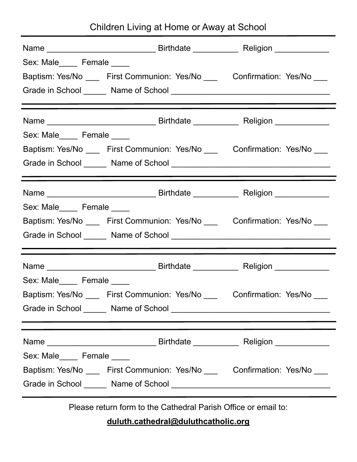## Children Living at Home or Away at School

| Sex: Male Female ____                                                            |                                                                                  |  |  |  |
|----------------------------------------------------------------------------------|----------------------------------------------------------------------------------|--|--|--|
|                                                                                  | Baptism: Yes/No _____ First Communion: Yes/No ______ Confirmation: Yes/No _____  |  |  |  |
|                                                                                  |                                                                                  |  |  |  |
| ,我们也不会有什么。""我们的人,我们也不会有什么?""我们的人,我们也不会有什么?""我们的人,我们也不会有什么?""我们的人,我们也不会有什么?""我们的人 |                                                                                  |  |  |  |
|                                                                                  |                                                                                  |  |  |  |
| Sex: Male_____ Female ____                                                       |                                                                                  |  |  |  |
|                                                                                  | Baptism: Yes/No _____ First Communion: Yes/No _____ Confirmation: Yes/No ____    |  |  |  |
|                                                                                  | ,我们也不会有什么。""我们的人,我们也不会有什么?""我们的人,我们也不会有什么?""我们的人,我们也不会有什么?""我们的人,我们也不会有什么?""我们的人 |  |  |  |
|                                                                                  |                                                                                  |  |  |  |
| Sex: Male_____ Female ____                                                       |                                                                                  |  |  |  |
|                                                                                  | Baptism: Yes/No _____ First Communion: Yes/No ______ Confirmation: Yes/No ____   |  |  |  |
|                                                                                  | <u> 1989 - Johann Stoff, amerikansk politiker (d. 1989)</u>                      |  |  |  |
|                                                                                  | ,我们也不会有什么。""我们的人,我们也不会不会不会不会。""我们的人,我们也不会不会不会不会。""我们的人,我们也不会不会不会。""我们的人,我们也不会不会不 |  |  |  |
| Sex: Male_____ Female ____                                                       |                                                                                  |  |  |  |
|                                                                                  | Baptism: Yes/No ____ First Communion: Yes/No ____ Confirmation: Yes/No           |  |  |  |
|                                                                                  |                                                                                  |  |  |  |
|                                                                                  | <u> 2000 - Andrea Andrew Maria (h. 1982).</u>                                    |  |  |  |
|                                                                                  | <u> 1989 - Johann Stoff, amerikansk politiker (d. 1989)</u>                      |  |  |  |
| Sex: Male_____ Female ____                                                       |                                                                                  |  |  |  |
|                                                                                  | Baptism: Yes/No _____ First Communion: Yes/No _____ Confirmation: Yes/No ____    |  |  |  |
|                                                                                  |                                                                                  |  |  |  |
| Please return form to the Cathedral Parish Office or email to:                   |                                                                                  |  |  |  |

**duluth.cathedral@duluthcatholic.org**